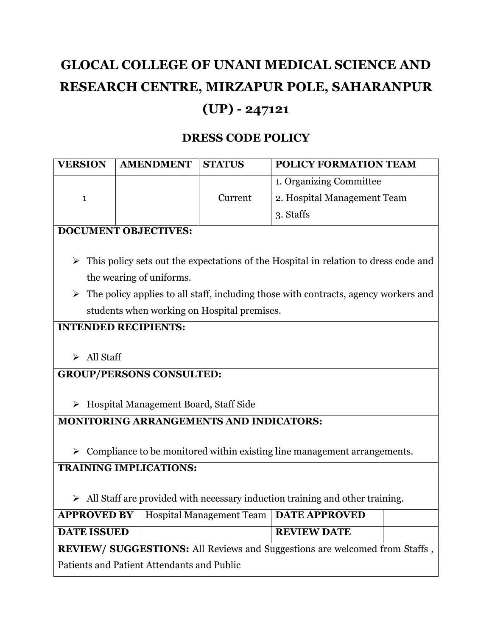# **GLOCAL COLLEGE OF UNANI MEDICAL SCIENCE AND RESEARCH CENTRE, MIRZAPUR POLE, SAHARANPUR (UP) - 247121**

## **DRESS CODE POLICY**

| <b>VERSION</b> | <b>AMENDMENT</b> | <b>STATUS</b> | <b>POLICY FORMATION TEAM</b> |
|----------------|------------------|---------------|------------------------------|
|                |                  |               | 1. Organizing Committee      |
|                |                  | Current       | 2. Hospital Management Team  |
|                |                  |               | 3. Staffs                    |

## **DOCUMENT OBJECTIVES:**

- $\triangleright$  This policy sets out the expectations of the Hospital in relation to dress code and the wearing of uniforms.
- $\triangleright$  The policy applies to all staff, including those with contracts, agency workers and students when working on Hospital premises.

## **INTENDED RECIPIENTS:**

 $\triangleright$  All Staff

## **GROUP/PERSONS CONSULTED:**

▶ Hospital Management Board, Staff Side

## **MONITORING ARRANGEMENTS AND INDICATORS:**

 $\triangleright$  Compliance to be monitored within existing line management arrangements.

## **TRAINING IMPLICATIONS:**

 $\triangleright$  All Staff are provided with necessary induction training and other training.

|                                                                                   | <b>APPROVED BY</b>   Hospital Management Team   DATE APPROVED |                    |  |  |  |  |
|-----------------------------------------------------------------------------------|---------------------------------------------------------------|--------------------|--|--|--|--|
| <b>DATE ISSUED</b>                                                                |                                                               | <b>REVIEW DATE</b> |  |  |  |  |
| <b>REVIEW/ SUGGESTIONS:</b> All Reviews and Suggestions are welcomed from Staffs, |                                                               |                    |  |  |  |  |
| Patients and Patient Attendants and Public                                        |                                                               |                    |  |  |  |  |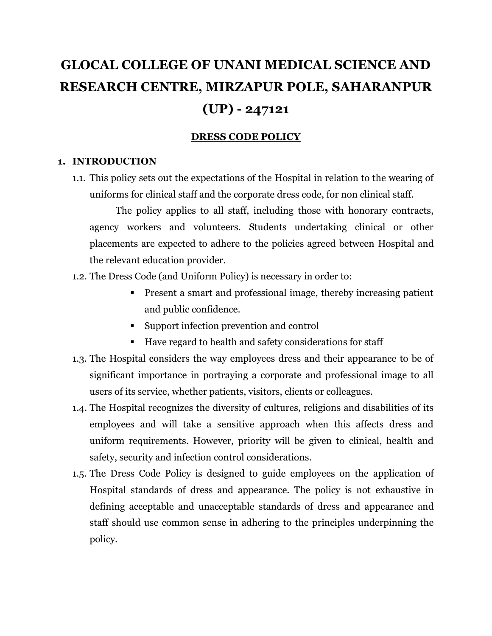# **GLOCAL COLLEGE OF UNANI MEDICAL SCIENCE AND RESEARCH CENTRE, MIRZAPUR POLE, SAHARANPUR (UP) - 247121**

## **DRESS CODE POLICY**

#### **1. INTRODUCTION**

1.1. This policy sets out the expectations of the Hospital in relation to the wearing of uniforms for clinical staff and the corporate dress code, for non clinical staff.

The policy applies to all staff, including those with honorary contracts, agency workers and volunteers. Students undertaking clinical or other placements are expected to adhere to the policies agreed between Hospital and the relevant education provider.

- 1.2. The Dress Code (and Uniform Policy) is necessary in order to:
	- Present a smart and professional image, thereby increasing patient and public confidence.
	- Support infection prevention and control
	- Have regard to health and safety considerations for staff
- 1.3. The Hospital considers the way employees dress and their appearance to be of significant importance in portraying a corporate and professional image to all users of its service, whether patients, visitors, clients or colleagues.
- 1.4. The Hospital recognizes the diversity of cultures, religions and disabilities of its employees and will take a sensitive approach when this affects dress and uniform requirements. However, priority will be given to clinical, health and safety, security and infection control considerations.
- 1.5. The Dress Code Policy is designed to guide employees on the application of Hospital standards of dress and appearance. The policy is not exhaustive in defining acceptable and unacceptable standards of dress and appearance and staff should use common sense in adhering to the principles underpinning the policy.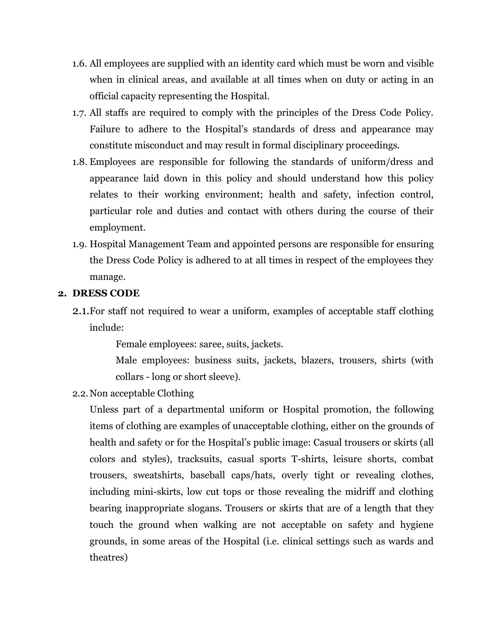- 1.6. All employees are supplied with an identity card which must be worn and visible when in clinical areas, and available at all times when on duty or acting in an official capacity representing the Hospital.
- 1.7. All staffs are required to comply with the principles of the Dress Code Policy. Failure to adhere to the Hospital's standards of dress and appearance may constitute misconduct and may result in formal disciplinary proceedings.
- 1.8. Employees are responsible for following the standards of uniform/dress and appearance laid down in this policy and should understand how this policy relates to their working environment; health and safety, infection control, particular role and duties and contact with others during the course of their employment.
- 1.9. Hospital Management Team and appointed persons are responsible for ensuring the Dress Code Policy is adhered to at all times in respect of the employees they manage.

#### **2. DRESS CODE**

2.1.For staff not required to wear a uniform, examples of acceptable staff clothing include:

Female employees: saree, suits, jackets.

Male employees: business suits, jackets, blazers, trousers, shirts (with collars - long or short sleeve).

2.2.Non acceptable Clothing

Unless part of a departmental uniform or Hospital promotion, the following items of clothing are examples of unacceptable clothing, either on the grounds of health and safety or for the Hospital's public image: Casual trousers or skirts (all colors and styles), tracksuits, casual sports T-shirts, leisure shorts, combat trousers, sweatshirts, baseball caps/hats, overly tight or revealing clothes, including mini-skirts, low cut tops or those revealing the midriff and clothing bearing inappropriate slogans. Trousers or skirts that are of a length that they touch the ground when walking are not acceptable on safety and hygiene grounds, in some areas of the Hospital (i.e. clinical settings such as wards and theatres)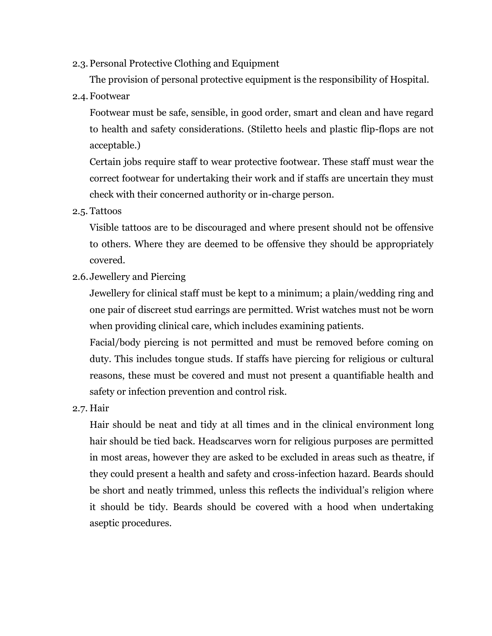2.3.Personal Protective Clothing and Equipment

The provision of personal protective equipment is the responsibility of Hospital.

2.4.Footwear

Footwear must be safe, sensible, in good order, smart and clean and have regard to health and safety considerations. (Stiletto heels and plastic flip-flops are not acceptable.)

Certain jobs require staff to wear protective footwear. These staff must wear the correct footwear for undertaking their work and if staffs are uncertain they must check with their concerned authority or in-charge person.

2.5. Tattoos

Visible tattoos are to be discouraged and where present should not be offensive to others. Where they are deemed to be offensive they should be appropriately covered.

2.6. Jewellery and Piercing

Jewellery for clinical staff must be kept to a minimum; a plain/wedding ring and one pair of discreet stud earrings are permitted. Wrist watches must not be worn when providing clinical care, which includes examining patients.

Facial/body piercing is not permitted and must be removed before coming on duty. This includes tongue studs. If staffs have piercing for religious or cultural reasons, these must be covered and must not present a quantifiable health and safety or infection prevention and control risk.

2.7. Hair

Hair should be neat and tidy at all times and in the clinical environment long hair should be tied back. Headscarves worn for religious purposes are permitted in most areas, however they are asked to be excluded in areas such as theatre, if they could present a health and safety and cross-infection hazard. Beards should be short and neatly trimmed, unless this reflects the individual's religion where it should be tidy. Beards should be covered with a hood when undertaking aseptic procedures.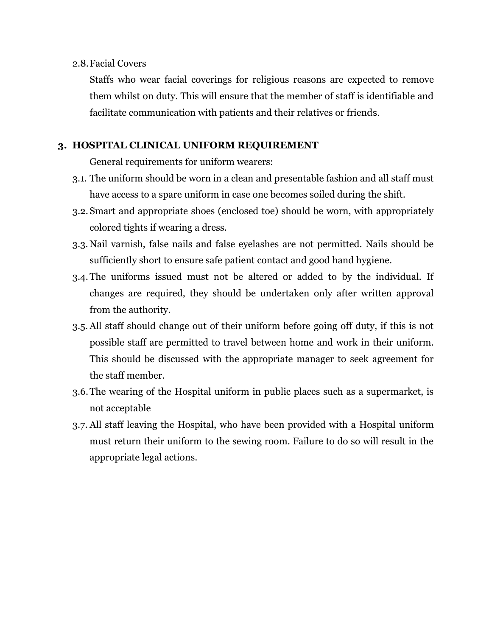#### 2.8.Facial Covers

Staffs who wear facial coverings for religious reasons are expected to remove them whilst on duty. This will ensure that the member of staff is identifiable and facilitate communication with patients and their relatives or friends.

#### **3. HOSPITAL CLINICAL UNIFORM REQUIREMENT**

General requirements for uniform wearers:

- 3.1. The uniform should be worn in a clean and presentable fashion and all staff must have access to a spare uniform in case one becomes soiled during the shift.
- 3.2. Smart and appropriate shoes (enclosed toe) should be worn, with appropriately colored tights if wearing a dress.
- 3.3. Nail varnish, false nails and false eyelashes are not permitted. Nails should be sufficiently short to ensure safe patient contact and good hand hygiene.
- 3.4.The uniforms issued must not be altered or added to by the individual. If changes are required, they should be undertaken only after written approval from the authority.
- 3.5. All staff should change out of their uniform before going off duty, if this is not possible staff are permitted to travel between home and work in their uniform. This should be discussed with the appropriate manager to seek agreement for the staff member.
- 3.6.The wearing of the Hospital uniform in public places such as a supermarket, is not acceptable
- 3.7. All staff leaving the Hospital, who have been provided with a Hospital uniform must return their uniform to the sewing room. Failure to do so will result in the appropriate legal actions.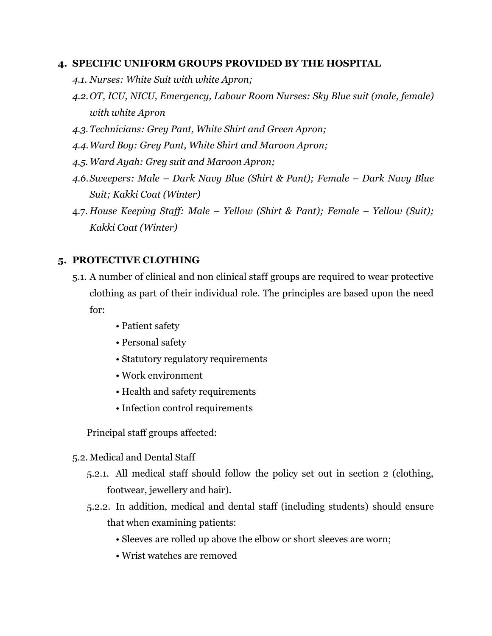#### **4. SPECIFIC UNIFORM GROUPS PROVIDED BY THE HOSPITAL**

- *4.1. Nurses: White Suit with white Apron;*
- *4.2.OT, ICU, NICU, Emergency, Labour Room Nurses: Sky Blue suit (male, female) with white Apron*
- *4.3.Technicians: Grey Pant, White Shirt and Green Apron;*
- *4.4.Ward Boy: Grey Pant, White Shirt and Maroon Apron;*
- *4.5. Ward Ayah: Grey suit and Maroon Apron;*
- *4.6.Sweepers: Male – Dark Navy Blue (Shirt & Pant); Female – Dark Navy Blue Suit; Kakki Coat (Winter)*
- 4.7. *House Keeping Staff: Male – Yellow (Shirt & Pant); Female – Yellow (Suit); Kakki Coat (Winter)*

### **5. PROTECTIVE CLOTHING**

- 5.1. A number of clinical and non clinical staff groups are required to wear protective clothing as part of their individual role. The principles are based upon the need for:
	- Patient safety
	- Personal safety
	- Statutory regulatory requirements
	- Work environment
	- Health and safety requirements
	- Infection control requirements

Principal staff groups affected:

- 5.2. Medical and Dental Staff
	- 5.2.1. All medical staff should follow the policy set out in section 2 (clothing, footwear, jewellery and hair).
	- 5.2.2. In addition, medical and dental staff (including students) should ensure that when examining patients:
		- Sleeves are rolled up above the elbow or short sleeves are worn;
		- Wrist watches are removed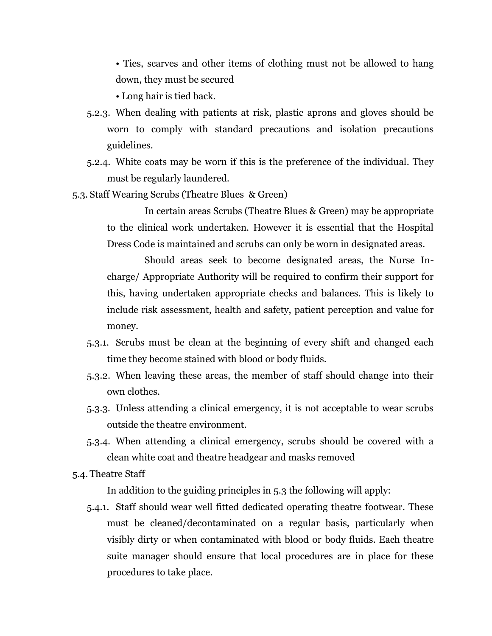• Ties, scarves and other items of clothing must not be allowed to hang down, they must be secured

• Long hair is tied back.

- 5.2.3. When dealing with patients at risk, plastic aprons and gloves should be worn to comply with standard precautions and isolation precautions guidelines.
- 5.2.4. White coats may be worn if this is the preference of the individual. They must be regularly laundered.
- 5.3. Staff Wearing Scrubs (Theatre Blues & Green)

In certain areas Scrubs (Theatre Blues & Green) may be appropriate to the clinical work undertaken. However it is essential that the Hospital Dress Code is maintained and scrubs can only be worn in designated areas.

Should areas seek to become designated areas, the Nurse Incharge/ Appropriate Authority will be required to confirm their support for this, having undertaken appropriate checks and balances. This is likely to include risk assessment, health and safety, patient perception and value for money.

- 5.3.1. Scrubs must be clean at the beginning of every shift and changed each time they become stained with blood or body fluids.
- 5.3.2. When leaving these areas, the member of staff should change into their own clothes.
- 5.3.3. Unless attending a clinical emergency, it is not acceptable to wear scrubs outside the theatre environment.
- 5.3.4. When attending a clinical emergency, scrubs should be covered with a clean white coat and theatre headgear and masks removed

5.4. Theatre Staff

In addition to the guiding principles in 5.3 the following will apply:

5.4.1. Staff should wear well fitted dedicated operating theatre footwear. These must be cleaned/decontaminated on a regular basis, particularly when visibly dirty or when contaminated with blood or body fluids. Each theatre suite manager should ensure that local procedures are in place for these procedures to take place.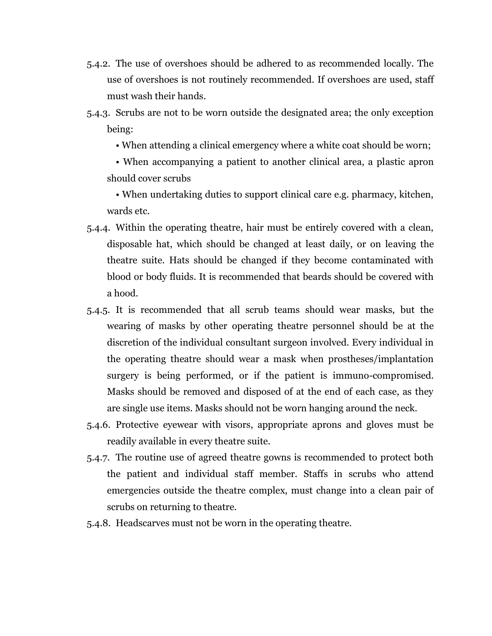- 5.4.2. The use of overshoes should be adhered to as recommended locally. The use of overshoes is not routinely recommended. If overshoes are used, staff must wash their hands.
- 5.4.3. Scrubs are not to be worn outside the designated area; the only exception being:
	- When attending a clinical emergency where a white coat should be worn;

• When accompanying a patient to another clinical area, a plastic apron should cover scrubs

• When undertaking duties to support clinical care e.g. pharmacy, kitchen, wards etc.

- 5.4.4. Within the operating theatre, hair must be entirely covered with a clean, disposable hat, which should be changed at least daily, or on leaving the theatre suite. Hats should be changed if they become contaminated with blood or body fluids. It is recommended that beards should be covered with a hood.
- 5.4.5. It is recommended that all scrub teams should wear masks, but the wearing of masks by other operating theatre personnel should be at the discretion of the individual consultant surgeon involved. Every individual in the operating theatre should wear a mask when prostheses/implantation surgery is being performed, or if the patient is immuno-compromised. Masks should be removed and disposed of at the end of each case, as they are single use items. Masks should not be worn hanging around the neck.
- 5.4.6. Protective eyewear with visors, appropriate aprons and gloves must be readily available in every theatre suite.
- 5.4.7. The routine use of agreed theatre gowns is recommended to protect both the patient and individual staff member. Staffs in scrubs who attend emergencies outside the theatre complex, must change into a clean pair of scrubs on returning to theatre.
- 5.4.8. Headscarves must not be worn in the operating theatre.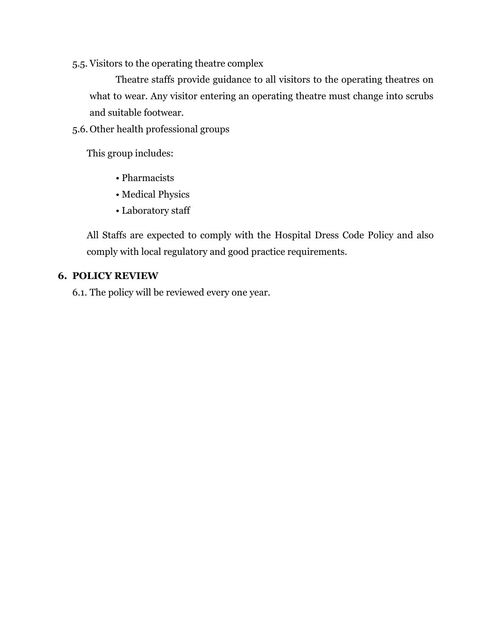5.5. Visitors to the operating theatre complex

Theatre staffs provide guidance to all visitors to the operating theatres on what to wear. Any visitor entering an operating theatre must change into scrubs and suitable footwear.

5.6. Other health professional groups

This group includes:

- Pharmacists
- Medical Physics
- Laboratory staff

All Staffs are expected to comply with the Hospital Dress Code Policy and also comply with local regulatory and good practice requirements.

#### **6. POLICY REVIEW**

6.1. The policy will be reviewed every one year.